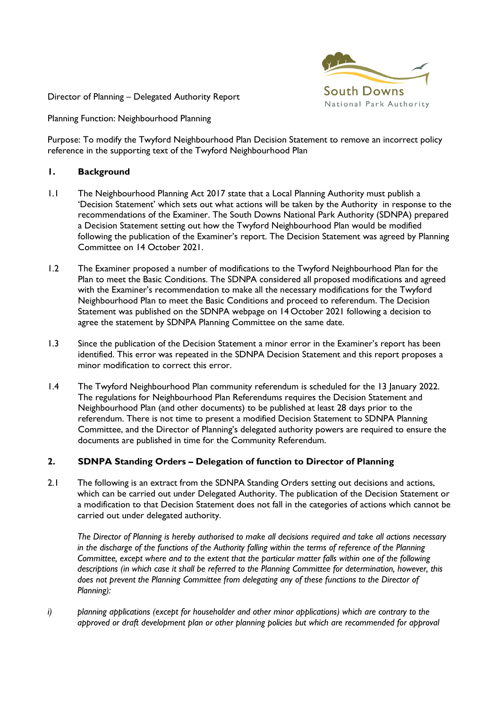

Director of Planning – Delegated Authority Report

Planning Function: Neighbourhood Planning

Purpose: To modify the Twyford Neighbourhood Plan Decision Statement to remove an incorrect policy reference in the supporting text of the Twyford Neighbourhood Plan

## **1. Background**

- 1.1 The Neighbourhood Planning Act 2017 state that a Local Planning Authority must publish a 'Decision Statement' which sets out what actions will be taken by the Authority in response to the recommendations of the Examiner. The South Downs National Park Authority (SDNPA) prepared a Decision Statement setting out how the Twyford Neighbourhood Plan would be modified following the publication of the Examiner's report. The Decision Statement was agreed by Planning Committee on 14 October 2021.
- 1.2 The Examiner proposed a number of modifications to the Twyford Neighbourhood Plan for the Plan to meet the Basic Conditions. The SDNPA considered all proposed modifications and agreed with the Examiner's recommendation to make all the necessary modifications for the Twyford Neighbourhood Plan to meet the Basic Conditions and proceed to referendum. The Decision Statement was published on the SDNPA webpage on 14 October 2021 following a decision to agree the statement by SDNPA Planning Committee on the same date.
- 1.3 Since the publication of the Decision Statement a minor error in the Examiner's report has been identified. This error was repeated in the SDNPA Decision Statement and this report proposes a minor modification to correct this error.
- 1.4 The Twyford Neighbourhood Plan community referendum is scheduled for the 13 January 2022. The regulations for Neighbourhood Plan Referendums requires the Decision Statement and Neighbourhood Plan (and other documents) to be published at least 28 days prior to the referendum. There is not time to present a modified Decision Statement to SDNPA Planning Committee, and the Director of Planning's delegated authority powers are required to ensure the documents are published in time for the Community Referendum.

## **2. SDNPA Standing Orders – Delegation of function to Director of Planning**

2.1 The following is an extract from the SDNPA Standing Orders setting out decisions and actions, which can be carried out under Delegated Authority. The publication of the Decision Statement or a modification to that Decision Statement does not fall in the categories of actions which cannot be carried out under delegated authority.

*The Director of Planning is hereby authorised to make all decisions required and take all actions necessary in the discharge of the functions of the Authority falling within the terms of reference of the Planning Committee, except where and to the extent that the particular matter falls within one of the following descriptions (in which case it shall be referred to the Planning Committee for determination, however, this does not prevent the Planning Committee from delegating any of these functions to the Director of Planning):*

*i) planning applications (except for householder and other minor applications) which are contrary to the approved or draft development plan or other planning policies but which are recommended for approval*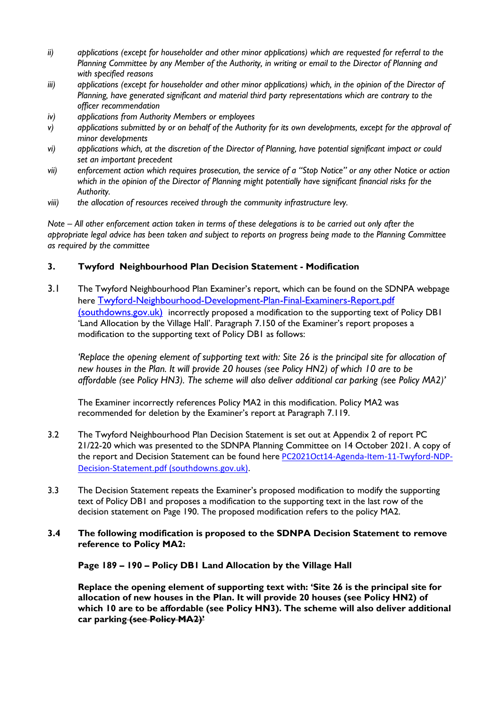- *ii) applications (except for householder and other minor applications) which are requested for referral to the Planning Committee by any Member of the Authority, in writing or email to the Director of Planning and with specified reasons*
- *iii*) applications (except for householder and other minor applications) which, in the opinion of the Director of *Planning, have generated significant and material third party representations which are contrary to the officer recommendation*
- *iv) applications from Authority Members or employees*
- *v) applications submitted by or on behalf of the Authority for its own developments, except for the approval of minor developments*
- *vi) applications which, at the discretion of the Director of Planning, have potential significant impact or could set an important precedent*
- *vii) enforcement action which requires prosecution, the service of a "Stop Notice" or any other Notice or action which in the opinion of the Director of Planning might potentially have significant financial risks for the Authority.*
- *viii) the allocation of resources received through the community infrastructure levy.*

*Note – All other enforcement action taken in terms of these delegations is to be carried out only after the appropriate legal advice has been taken and subject to reports on progress being made to the Planning Committee as required by the committee*

## **3. Twyford Neighbourhood Plan Decision Statement - Modification**

3.1 The Twyford Neighbourhood Plan Examiner's report, which can be found on the SDNPA webpage here [Twyford-Neighbourhood-Development-Plan-Final-Examiners-Report.pdf](https://www.southdowns.gov.uk/wp-content/uploads/2021/07/Twyford-Neighbourhood-Development-Plan-Final-Examiners-Report.pdf)  [\(southdowns.gov.uk\)](https://www.southdowns.gov.uk/wp-content/uploads/2021/07/Twyford-Neighbourhood-Development-Plan-Final-Examiners-Report.pdf) incorrectly proposed a modification to the supporting text of Policy DB1 'Land Allocation by the Village Hall'. Paragraph 7.150 of the Examiner's report proposes a modification to the supporting text of Policy DB1 as follows:

*'Replace the opening element of supporting text with: Site 26 is the principal site for allocation of new houses in the Plan. It will provide 20 houses (see Policy HN2) of which 10 are to be affordable (see Policy HN3). The scheme will also deliver additional car parking (see Policy MA2)'*

The Examiner incorrectly references Policy MA2 in this modification. Policy MA2 was recommended for deletion by the Examiner's report at Paragraph 7.119.

- 3.2 The Twyford Neighbourhood Plan Decision Statement is set out at Appendix 2 of report PC 21/22-20 which was presented to the SDNPA Planning Committee on 14 October 2021. A copy of the report and Decision Statement can be found here [PC2021Oct14-Agenda-Item-11-Twyford-NDP-](https://www.southdowns.gov.uk/wp-content/uploads/2021/10/PC2021Oct14-Agenda-Item-11-Twyford-NDP-Decision-Statement.pdf)[Decision-Statement.pdf \(southdowns.gov.uk\).](https://www.southdowns.gov.uk/wp-content/uploads/2021/10/PC2021Oct14-Agenda-Item-11-Twyford-NDP-Decision-Statement.pdf)
- 3.3 The Decision Statement repeats the Examiner's proposed modification to modify the supporting text of Policy DB1 and proposes a modification to the supporting text in the last row of the decision statement on Page 190. The proposed modification refers to the policy MA2.
- **3.4 The following modification is proposed to the SDNPA Decision Statement to remove reference to Policy MA2:**

**Page 189 – 190 – Policy DB1 Land Allocation by the Village Hall**

**Replace the opening element of supporting text with: 'Site 26 is the principal site for allocation of new houses in the Plan. It will provide 20 houses (see Policy HN2) of which 10 are to be affordable (see Policy HN3). The scheme will also deliver additional car parking (see Policy MA2)'**